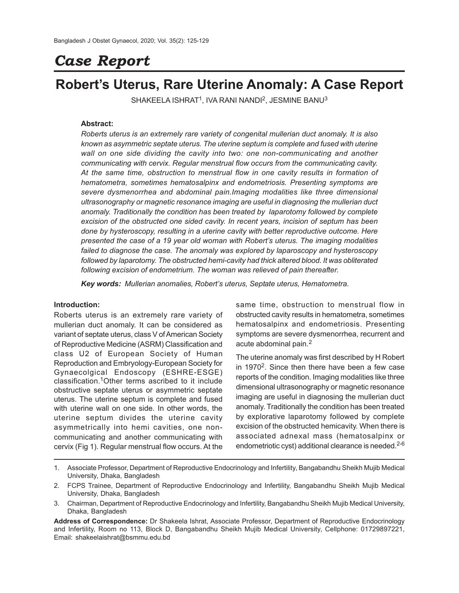# *Case Report*

# **Robert's Uterus, Rare Uterine Anomaly: A Case Report**

 $SHAKEELA ISHRAT<sup>1</sup>, IVA RANI NANDI<sup>2</sup>, JESMINE BANU<sup>3</sup>$ 

# **Abstract:**

*Roberts uterus is an extremely rare variety of congenital mullerian duct anomaly. It is also known as asymmetric septate uterus. The uterine septum is complete and fused with uterine wall on one side dividing the cavity into two: one non-communicating and another communicating with cervix. Regular menstrual flow occurs from the communicating cavity. At the same time, obstruction to menstrual flow in one cavity results in formation of hematometra, sometimes hematosalpinx and endometriosis. Presenting symptoms are severe dysmenorrhea and abdominal pain.Imaging modalities like three dimensional ultrasonography or magnetic resonance imaging are useful in diagnosing the mullerian duct anomaly. Traditionally the condition has been treated by laparotomy followed by complete excision of the obstructed one sided cavity. In recent years, incision of septum has been done by hysteroscopy, resulting in a uterine cavity with better reproductive outcome. Here presented the case of a 19 year old woman with Robert's uterus. The imaging modalities failed to diagnose the case. The anomaly was explored by laparoscopy and hysteroscopy followed by laparotomy. The obstructed hemi-cavity had thick altered blood. It was obliterated following excision of endometrium. The woman was relieved of pain thereafter.*

*Key words: Mullerian anomalies, Robert's uterus, Septate uterus, Hematometra.*

#### **Introduction:**

Roberts uterus is an extremely rare variety of mullerian duct anomaly. It can be considered as variant of septate uterus, class V of American Society of Reproductive Medicine (ASRM) Classification and class U2 of European Society of Human Reproduction and Embryology-European Society for Gynaecolgical Endoscopy (ESHRE-ESGE) classification.1Other terms ascribed to it include obstructive septate uterus or asymmetric septate uterus. The uterine septum is complete and fused with uterine wall on one side. In other words, the uterine septum divides the uterine cavity asymmetrically into hemi cavities, one noncommunicating and another communicating with cervix (Fig 1). Regular menstrual flow occurs. At the

same time, obstruction to menstrual flow in obstructed cavity results in hematometra, sometimes hematosalpinx and endometriosis. Presenting symptoms are severe dysmenorrhea, recurrent and acute abdominal pain.<sup>2</sup>

The uterine anomaly was first described by H Robert in 1970<sup>2</sup>. Since then there have been a few case reports of the condition. Imaging modalities like three dimensional ultrasonography or magnetic resonance imaging are useful in diagnosing the mullerian duct anomaly. Traditionally the condition has been treated by explorative laparotomy followed by complete excision of the obstructed hemicavity. When there is associated adnexal mass (hematosalpinx or endometriotic cyst) additional clearance is needed.2-6

- 1. Associate Professor, Department of Reproductive Endocrinology and Infertility, Bangabandhu Sheikh Mujib Medical University, Dhaka, Bangladesh
- 2. FCPS Trainee, Department of Reproductive Endocrinology and Infertility, Bangabandhu Sheikh Mujib Medical University, Dhaka, Bangladesh
- 3. Chairman, Department of Reproductive Endocrinology and Infertility, Bangabandhu Sheikh Mujib Medical University, Dhaka, Bangladesh

**Address of Correspondence:** Dr Shakeela Ishrat, Associate Professor, Department of Reproductive Endocrinology and Infertility, Room no 113, Block D, Bangabandhu Sheikh Mujib Medical University, Cellphone: 01729897221, Email: shakeelaishrat@bsmmu.edu.bd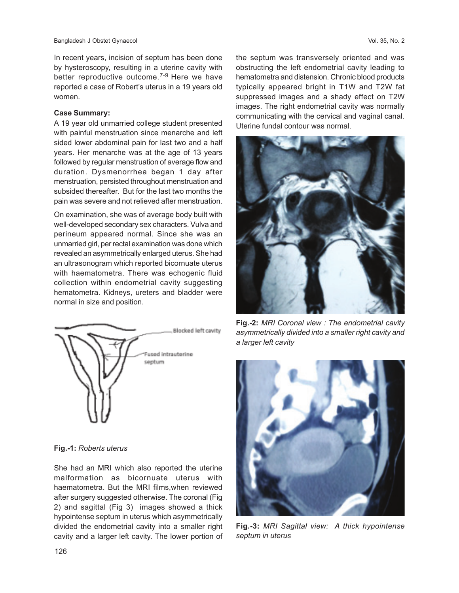In recent years, incision of septum has been done by hysteroscopy, resulting in a uterine cavity with better reproductive outcome.<sup>7-9</sup> Here we have reported a case of Robert's uterus in a 19 years old women.

#### **Case Summary:**

A 19 year old unmarried college student presented with painful menstruation since menarche and left sided lower abdominal pain for last two and a half years. Her menarche was at the age of 13 years followed by regular menstruation of average flow and duration. Dysmenorrhea began 1 day after menstruation, persisted throughout menstruation and subsided thereafter. But for the last two months the pain was severe and not relieved after menstruation.

On examination, she was of average body built with well-developed secondary sex characters. Vulva and perineum appeared normal. Since she was an unmarried girl, per rectal examination was done which revealed an asymmetrically enlarged uterus. She had an ultrasonogram which reported bicornuate uterus with haematometra. There was echogenic fluid collection within endometrial cavity suggesting hematometra. Kidneys, ureters and bladder were normal in size and position.



# **Fig.-1:** *Roberts uterus*

She had an MRI which also reported the uterine malformation as bicornuate uterus with haematometra. But the MRI films,when reviewed after surgery suggested otherwise. The coronal (Fig 2) and sagittal (Fig 3) images showed a thick hypointense septum in uterus which asymmetrically divided the endometrial cavity into a smaller right cavity and a larger left cavity. The lower portion of the septum was transversely oriented and was obstructing the left endometrial cavity leading to hematometra and distension. Chronic blood products typically appeared bright in T1W and T2W fat suppressed images and a shady effect on T2W images. The right endometrial cavity was normally communicating with the cervical and vaginal canal. Uterine fundal contour was normal.



**Fig.-2:** *MRI Coronal view : The endometrial cavity asymmetrically divided into a smaller right cavity and a larger left cavity*



**Fig.-3:** *MRI Sagittal view: A thick hypointense septum in uterus*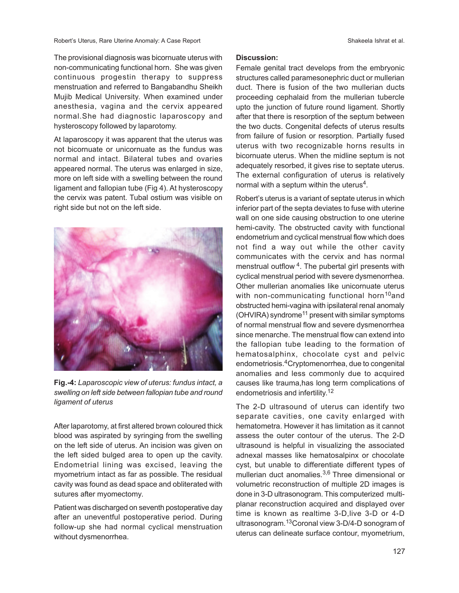The provisional diagnosis was bicornuate uterus with non-communicating functional horn. She was given continuous progestin therapy to suppress menstruation and referred to Bangabandhu Sheikh Mujib Medical University. When examined under anesthesia, vagina and the cervix appeared normal.She had diagnostic laparoscopy and hysteroscopy followed by laparotomy.

At laparoscopy it was apparent that the uterus was not bicornuate or unicornuate as the fundus was normal and intact. Bilateral tubes and ovaries appeared normal. The uterus was enlarged in size, more on left side with a swelling between the round ligament and fallopian tube (Fig 4). At hysteroscopy the cervix was patent. Tubal ostium was visible on right side but not on the left side.



**Fig.-4:** *Laparoscopic view of uterus: fundus intact, a swelling on left side between fallopian tube and round ligament of uterus*

After laparotomy, at first altered brown coloured thick blood was aspirated by syringing from the swelling on the left side of uterus. An incision was given on the left sided bulged area to open up the cavity. Endometrial lining was excised, leaving the myometrium intact as far as possible. The residual cavity was found as dead space and obliterated with sutures after myomectomy.

Patient was discharged on seventh postoperative day after an uneventful postoperative period. During follow-up she had normal cyclical menstruation without dysmenorrhea.

# **Discussion:**

Female genital tract develops from the embryonic structures called paramesonephric duct or mullerian duct. There is fusion of the two mullerian ducts proceeding cephalaid from the mullerian tubercle upto the junction of future round ligament. Shortly after that there is resorption of the septum between the two ducts. Congenital defects of uterus results from failure of fusion or resorption. Partially fused uterus with two recognizable horns results in bicornuate uterus. When the midline septum is not adequately resorbed, it gives rise to septate uterus. The external configuration of uterus is relatively normal with a septum within the uterus<sup>4</sup>.

Robert's uterus is a variant of septate uterus in which inferior part of the septa deviates to fuse with uterine wall on one side causing obstruction to one uterine hemi-cavity. The obstructed cavity with functional endometrium and cyclical menstrual flow which does not find a way out while the other cavity communicates with the cervix and has normal menstrual outflow <sup>4</sup>. The pubertal girl presents with cyclical menstrual period with severe dysmenorrhea. Other mullerian anomalies like unicornuate uterus with non-communicating functional horn<sup>10</sup>and obstructed hemi-vagina with ipsilateral renal anomaly (OHVIRA) syndrome<sup>11</sup> present with similar symptoms of normal menstrual flow and severe dysmenorrhea since menarche. The menstrual flow can extend into the fallopian tube leading to the formation of hematosalphinx, chocolate cyst and pelvic endometriosis.4Cryptomenorrhea, due to congenital anomalies and less commonly due to acquired causes like trauma,has long term complications of endometriosis and infertility. 12

The 2-D ultrasound of uterus can identify two separate cavities, one cavity enlarged with hematometra. However it has limitation as it cannot assess the outer contour of the uterus. The 2-D ultrasound is helpful in visualizing the associated adnexal masses like hematosalpinx or chocolate cyst, but unable to differentiate different types of mullerian duct anomalies.3,6 Three dimensional or volumetric reconstruction of multiple 2D images is done in 3-D ultrasonogram. This computerized multiplanar reconstruction acquired and displayed over time is known as realtime 3-D,live 3-D or 4-D ultrasonogram.13Coronal view 3-D/4-D sonogram of uterus can delineate surface contour, myometrium,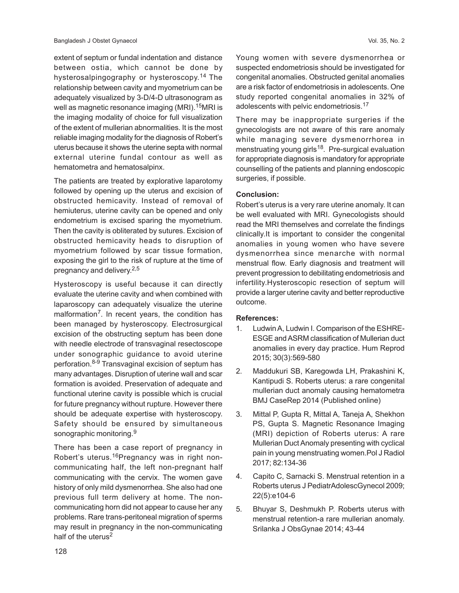extent of septum or fundal indentation and distance between ostia, which cannot be done by hysterosalpingography or hysteroscopy.<sup>14</sup> The relationship between cavity and myometrium can be adequately visualized by 3-D/4-D ultrasonogram as well as magnetic resonance imaging (MRI).<sup>15</sup>MRI is the imaging modality of choice for full visualization of the extent of mullerian abnormalities. It is the most reliable imaging modality for the diagnosis of Robert's uterus because it shows the uterine septa with normal external uterine fundal contour as well as hematometra and hematosalpinx.

The patients are treated by explorative laparotomy followed by opening up the uterus and excision of obstructed hemicavity. Instead of removal of hemiuterus, uterine cavity can be opened and only endometrium is excised sparing the myometrium. Then the cavity is obliterated by sutures. Excision of obstructed hemicavity heads to disruption of myometrium followed by scar tissue formation, exposing the girl to the risk of rupture at the time of pregnancy and delivery.<sup>2,5</sup>

Hysteroscopy is useful because it can directly evaluate the uterine cavity and when combined with laparoscopy can adequately visualize the uterine malformation<sup>7</sup>. In recent years, the condition has been managed by hysteroscopy. Electrosurgical excision of the obstructing septum has been done with needle electrode of transvaginal resectoscope under sonographic guidance to avoid uterine perforation.8-9 Transvaginal excision of septum has many advantages. Disruption of uterine wall and scar formation is avoided. Preservation of adequate and functional uterine cavity is possible which is crucial for future pregnancy without rupture. However there should be adequate expertise with hysteroscopy. Safety should be ensured by simultaneous sonographic monitoring.<sup>9</sup>

There has been a case report of pregnancy in Robert's uterus.<sup>16</sup>Pregnancy was in right noncommunicating half, the left non-pregnant half communicating with the cervix. The women gave history of only mild dysmenorrhea. She also had one previous full term delivery at home. The noncommunicating horn did not appear to cause her any problems. Rare trans-peritoneal migration of sperms may result in pregnancy in the non-communicating half of the uterus<sup>2</sup>

Young women with severe dysmenorrhea or suspected endometriosis should be investigated for congenital anomalies. Obstructed genital anomalies are a risk factor of endometriosis in adolescents. One study reported congenital anomalies in 32% of adolescents with pelvic endometriosis.<sup>17</sup>

There may be inappropriate surgeries if the gynecologists are not aware of this rare anomaly while managing severe dysmenorrhorea in menstruating young girls<sup>18</sup>. Pre-surgical evaluation for appropriate diagnosis is mandatory for appropriate counselling of the patients and planning endoscopic surgeries, if possible.

# **Conclusion:**

Robert's uterus is a very rare uterine anomaly. It can be well evaluated with MRI. Gynecologists should read the MRI themselves and correlate the findings clinically.It is important to consider the congenital anomalies in young women who have severe dysmenorrhea since menarche with normal menstrual flow. Early diagnosis and treatment will prevent progression to debilitating endometriosis and infertility.Hysteroscopic resection of septum will provide a larger uterine cavity and better reproductive outcome.

# **References:**

- 1. Ludwin A, Ludwin I. Comparison of the ESHRE-ESGE and ASRM classification of Mullerian duct anomalies in every day practice. Hum Reprod 2015; 30(3):569-580
- 2. Maddukuri SB, Karegowda LH, Prakashini K, Kantipudi S. Roberts uterus: a rare congenital mullerian duct anomaly causing hematometra BMJ CaseRep 2014 (Published online)
- 3. Mittal P, Gupta R, Mittal A, Taneja A, Shekhon PS, Gupta S. Magnetic Resonance Imaging (MRI) depiction of Roberts uterus: A rare Mullerian Duct Anomaly presenting with cyclical pain in young menstruating women.Pol J Radiol 2017; 82:134-36
- 4. Capito C, Sarnacki S. Menstrual retention in a Roberts uterus J PediatrAdolescGynecol 2009; 22(5):e104-6
- 5. Bhuyar S, Deshmukh P. Roberts uterus with menstrual retention-a rare mullerian anomaly. Srilanka J ObsGynae 2014; 43-44